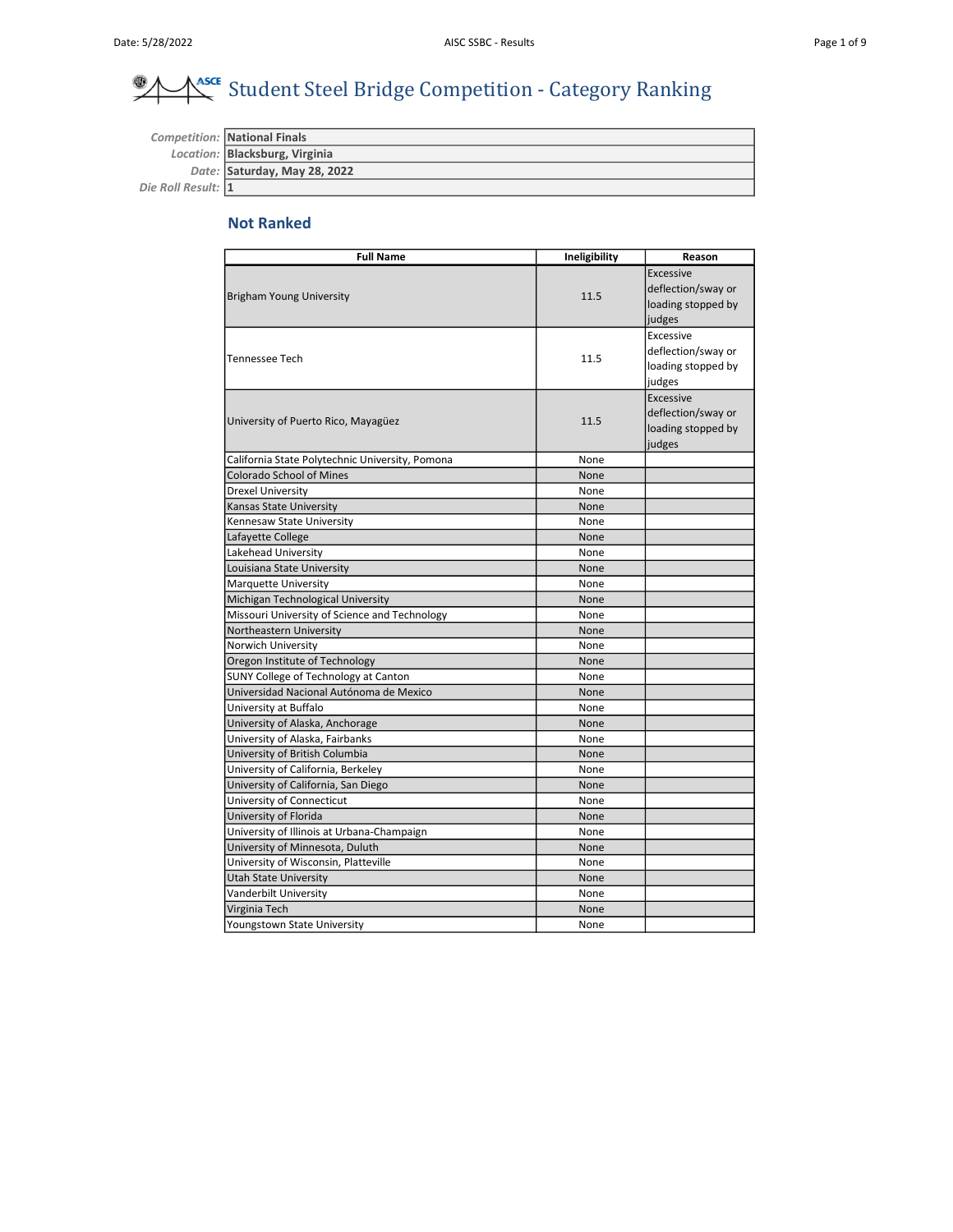#### $\overline{\mathscr{A}}$ **AssCE** Student Steel Bridge Competition - Category Ranking

Competition: National Finals Location: Blacksburg, Virginia Date: Saturday, May 28, 2022 Die Roll Result: 1

## Not Ranked

| <b>Full Name</b>                                | Ineligibility | Reason                                                                 |
|-------------------------------------------------|---------------|------------------------------------------------------------------------|
| Brigham Young University                        | 11.5          | <b>Excessive</b><br>deflection/sway or<br>loading stopped by<br>judges |
| <b>Tennessee Tech</b>                           | 11.5          | Excessive<br>deflection/sway or<br>loading stopped by<br>judges        |
| University of Puerto Rico, Mayagüez             | 11.5          | <b>Excessive</b><br>deflection/sway or<br>loading stopped by<br>judges |
| California State Polytechnic University, Pomona | None          |                                                                        |
| <b>Colorado School of Mines</b>                 | None          |                                                                        |
| <b>Drexel University</b>                        | None          |                                                                        |
| Kansas State University                         | None          |                                                                        |
| Kennesaw State University                       | None          |                                                                        |
| Lafayette College                               | None          |                                                                        |
| Lakehead University                             | None          |                                                                        |
| Louisiana State University                      | None          |                                                                        |
| <b>Marquette University</b>                     | None          |                                                                        |
| Michigan Technological University               | None          |                                                                        |
| Missouri University of Science and Technology   | None          |                                                                        |
| Northeastern University                         | None          |                                                                        |
| Norwich University                              | None          |                                                                        |
| Oregon Institute of Technology                  | None          |                                                                        |
| <b>SUNY College of Technology at Canton</b>     | None          |                                                                        |
| Universidad Nacional Autónoma de Mexico         | None          |                                                                        |
| University at Buffalo                           | None          |                                                                        |
| University of Alaska, Anchorage                 | None          |                                                                        |
| University of Alaska, Fairbanks                 | None          |                                                                        |
| University of British Columbia                  | None          |                                                                        |
| University of California, Berkeley              | None          |                                                                        |
| University of California, San Diego             | None          |                                                                        |
| University of Connecticut                       | None          |                                                                        |
| University of Florida                           | None          |                                                                        |
| University of Illinois at Urbana-Champaign      | None          |                                                                        |
| University of Minnesota, Duluth                 | None          |                                                                        |
| University of Wisconsin, Platteville            | None          |                                                                        |
| <b>Utah State University</b>                    | None          |                                                                        |
| Vanderbilt University                           | None          |                                                                        |
| Virginia Tech                                   | None          |                                                                        |
| Youngstown State University                     | None          |                                                                        |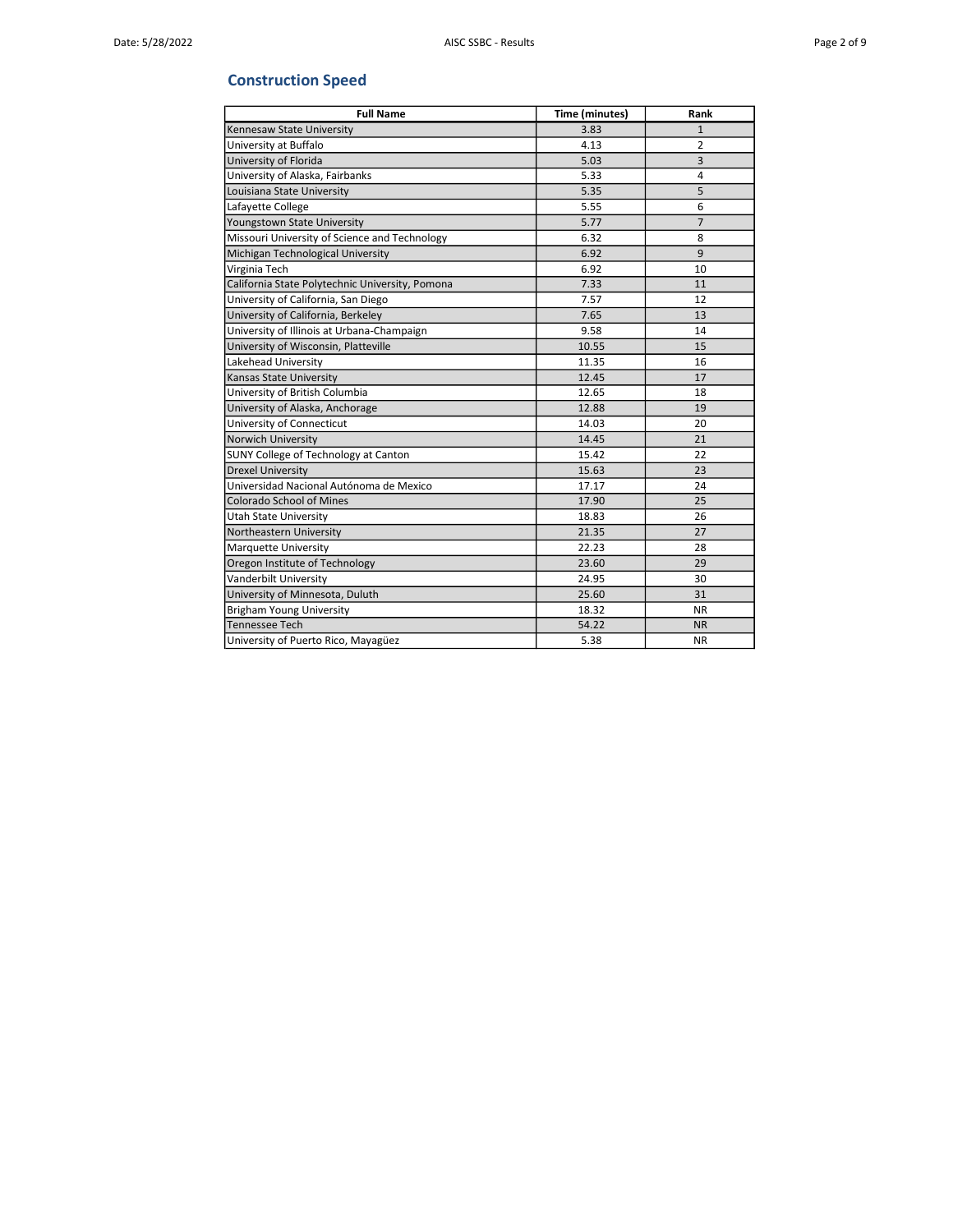## Construction Speed

| <b>Full Name</b>                                | Time (minutes) | Rank           |
|-------------------------------------------------|----------------|----------------|
| Kennesaw State University                       | 3.83           | $\mathbf{1}$   |
| University at Buffalo                           | 4.13           | $\overline{2}$ |
| University of Florida                           | 5.03           | 3              |
| University of Alaska, Fairbanks                 | 5.33           | 4              |
| Louisiana State University                      | 5.35           | 5              |
| Lafayette College                               | 5.55           | 6              |
| Youngstown State University                     | 5.77           | $\overline{7}$ |
| Missouri University of Science and Technology   | 6.32           | 8              |
| Michigan Technological University               | 6.92           | 9              |
| Virginia Tech                                   | 6.92           | 10             |
| California State Polytechnic University, Pomona | 7.33           | 11             |
| University of California, San Diego             | 7.57           | 12             |
| University of California, Berkeley              | 7.65           | 13             |
| University of Illinois at Urbana-Champaign      | 9.58           | 14             |
| University of Wisconsin, Platteville            | 10.55          | 15             |
| Lakehead University                             | 11.35          | 16             |
| Kansas State University                         | 12.45          | 17             |
| University of British Columbia                  | 12.65          | 18             |
| University of Alaska, Anchorage                 | 12.88          | 19             |
| University of Connecticut                       | 14.03          | 20             |
| Norwich University                              | 14.45          | 21             |
| SUNY College of Technology at Canton            | 15.42          | 22             |
| <b>Drexel University</b>                        | 15.63          | 23             |
| Universidad Nacional Autónoma de Mexico         | 17.17          | 24             |
| <b>Colorado School of Mines</b>                 | 17.90          | 25             |
| <b>Utah State University</b>                    | 18.83          | 26             |
| Northeastern University                         | 21.35          | 27             |
| Marquette University                            | 22.23          | 28             |
| Oregon Institute of Technology                  | 23.60          | 29             |
| Vanderbilt University                           | 24.95          | 30             |
| University of Minnesota, Duluth                 | 25.60          | 31             |
| Brigham Young University                        | 18.32          | <b>NR</b>      |
| Tennessee Tech                                  | 54.22          | <b>NR</b>      |
| University of Puerto Rico, Mayagüez             | 5.38           | <b>NR</b>      |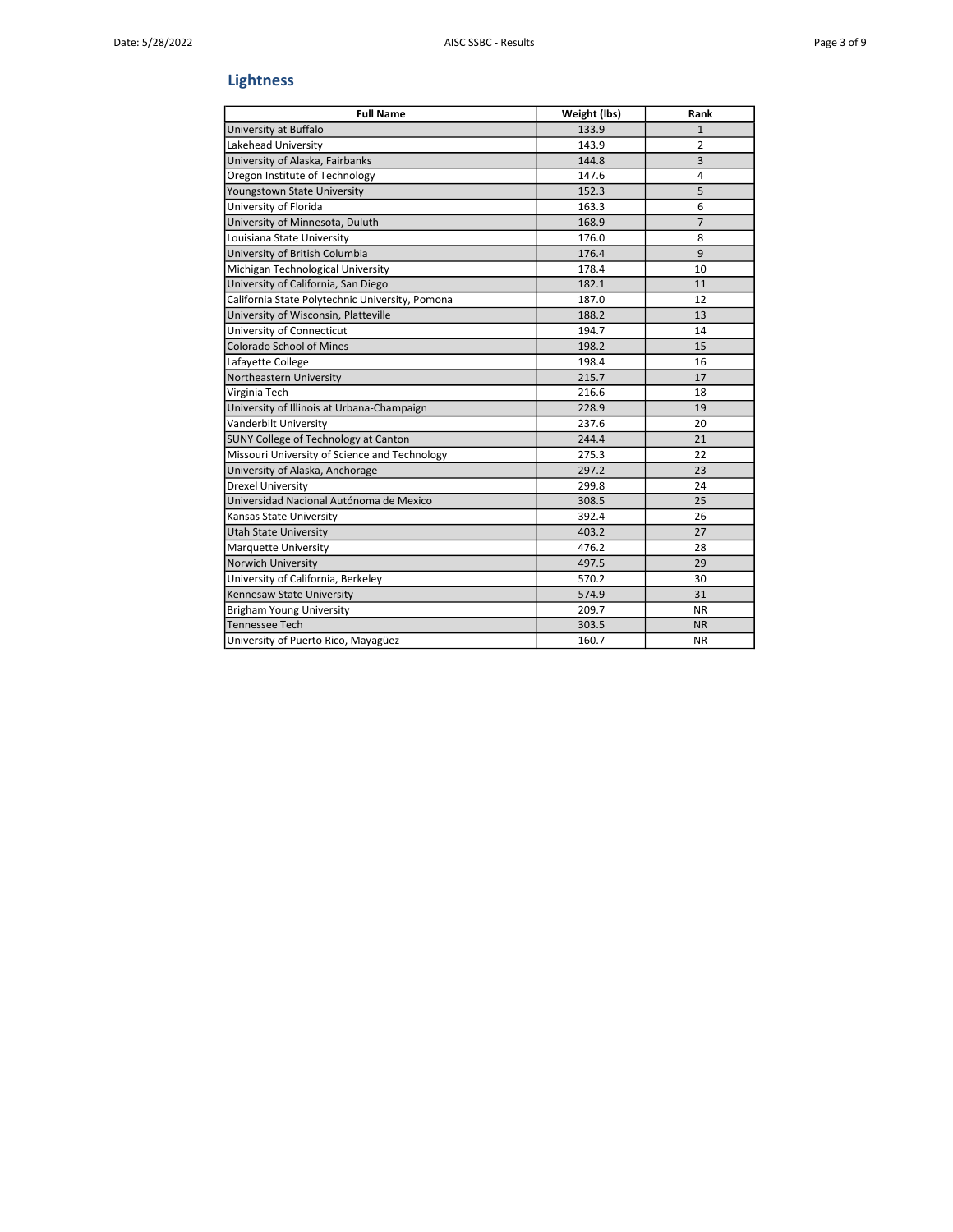# Lightness

| <b>Full Name</b>                                | Weight (lbs) | Rank           |
|-------------------------------------------------|--------------|----------------|
| University at Buffalo                           | 133.9        | $\mathbf{1}$   |
| Lakehead University                             | 143.9        | $\overline{2}$ |
| University of Alaska, Fairbanks                 | 144.8        | $\overline{3}$ |
| Oregon Institute of Technology                  | 147.6        | 4              |
| Youngstown State University                     | 152.3        | 5              |
| University of Florida                           | 163.3        | 6              |
| University of Minnesota, Duluth                 | 168.9        | $\overline{7}$ |
| Louisiana State University                      | 176.0        | 8              |
| University of British Columbia                  | 176.4        | 9              |
| Michigan Technological University               | 178.4        | 10             |
| University of California, San Diego             | 182.1        | 11             |
| California State Polytechnic University, Pomona | 187.0        | 12             |
| University of Wisconsin, Platteville            | 188.2        | 13             |
| University of Connecticut                       | 194.7        | 14             |
| <b>Colorado School of Mines</b>                 | 198.2        | 15             |
| Lafayette College                               | 198.4        | 16             |
| Northeastern University                         | 215.7        | 17             |
| Virginia Tech                                   | 216.6        | 18             |
| University of Illinois at Urbana-Champaign      | 228.9        | 19             |
| Vanderbilt University                           | 237.6        | 20             |
| <b>SUNY College of Technology at Canton</b>     | 244.4        | 21             |
| Missouri University of Science and Technology   | 275.3        | 22             |
| University of Alaska, Anchorage                 | 297.2        | 23             |
| <b>Drexel University</b>                        | 299.8        | 24             |
| Universidad Nacional Autónoma de Mexico         | 308.5        | 25             |
| Kansas State University                         | 392.4        | 26             |
| <b>Utah State University</b>                    | 403.2        | 27             |
| Marquette University                            | 476.2        | 28             |
| Norwich University                              | 497.5        | 29             |
| University of California, Berkeley              | 570.2        | 30             |
| Kennesaw State University                       | 574.9        | 31             |
| <b>Brigham Young University</b>                 | 209.7        | <b>NR</b>      |
| <b>Tennessee Tech</b>                           | 303.5        | <b>NR</b>      |
| University of Puerto Rico, Mayagüez             | 160.7        | <b>NR</b>      |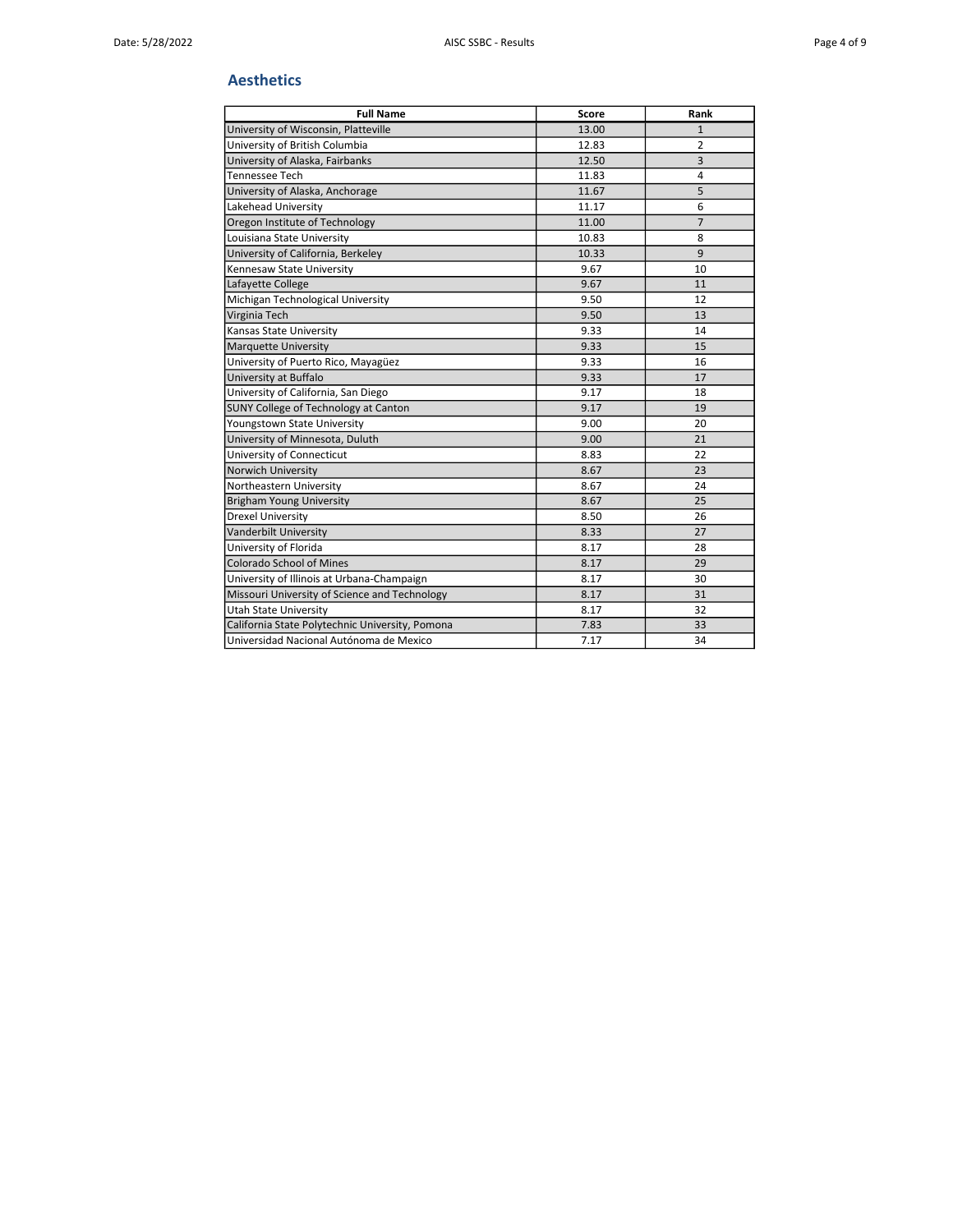#### Aesthetics

| <b>Full Name</b>                                | Score | Rank           |
|-------------------------------------------------|-------|----------------|
| University of Wisconsin, Platteville            | 13.00 | $\mathbf{1}$   |
| University of British Columbia                  | 12.83 | $\overline{2}$ |
| University of Alaska, Fairbanks                 | 12.50 | 3              |
| <b>Tennessee Tech</b>                           | 11.83 | $\overline{4}$ |
| University of Alaska, Anchorage                 | 11.67 | 5              |
| Lakehead University                             | 11.17 | 6              |
| Oregon Institute of Technology                  | 11.00 | $\overline{7}$ |
| Louisiana State University                      | 10.83 | 8              |
| University of California, Berkeley              | 10.33 | 9              |
| Kennesaw State University                       | 9.67  | 10             |
| Lafayette College                               | 9.67  | 11             |
| Michigan Technological University               | 9.50  | 12             |
| Virginia Tech                                   | 9.50  | 13             |
| Kansas State University                         | 9.33  | 14             |
| Marquette University                            | 9.33  | 15             |
| University of Puerto Rico, Mayagüez             | 9.33  | 16             |
| University at Buffalo                           | 9.33  | 17             |
| University of California, San Diego             | 9.17  | 18             |
| <b>SUNY College of Technology at Canton</b>     | 9.17  | 19             |
| Youngstown State University                     | 9.00  | 20             |
| University of Minnesota, Duluth                 | 9.00  | 21             |
| University of Connecticut                       | 8.83  | 22             |
| Norwich University                              | 8.67  | 23             |
| Northeastern University                         | 8.67  | 24             |
| <b>Brigham Young University</b>                 | 8.67  | 25             |
| <b>Drexel University</b>                        | 8.50  | 26             |
| Vanderbilt University                           | 8.33  | 27             |
| University of Florida                           | 8.17  | 28             |
| <b>Colorado School of Mines</b>                 | 8.17  | 29             |
| University of Illinois at Urbana-Champaign      | 8.17  | 30             |
| Missouri University of Science and Technology   | 8.17  | 31             |
| <b>Utah State University</b>                    | 8.17  | 32             |
| California State Polytechnic University, Pomona | 7.83  | 33             |
| Universidad Nacional Autónoma de Mexico         | 7.17  | 34             |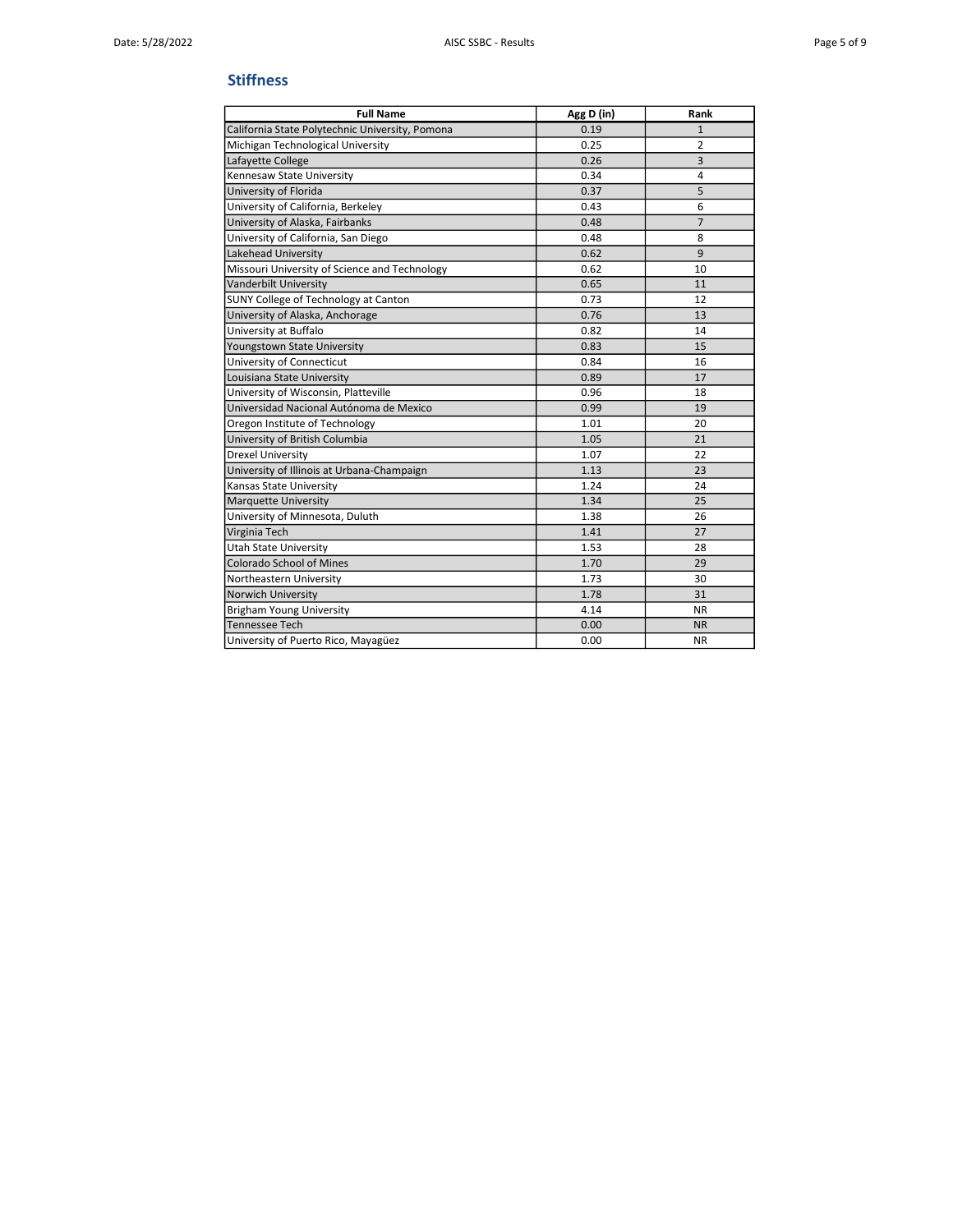#### **Stiffness**

| <b>Full Name</b>                                | Agg D (in) | Rank           |
|-------------------------------------------------|------------|----------------|
| California State Polytechnic University, Pomona | 0.19       | $\mathbf{1}$   |
| Michigan Technological University               | 0.25       | $\overline{2}$ |
| Lafayette College                               | 0.26       | 3              |
| Kennesaw State University                       | 0.34       | 4              |
| University of Florida                           | 0.37       | 5              |
| University of California, Berkeley              | 0.43       | 6              |
| University of Alaska, Fairbanks                 | 0.48       | $\overline{7}$ |
| University of California, San Diego             | 0.48       | 8              |
| Lakehead University                             | 0.62       | 9              |
| Missouri University of Science and Technology   | 0.62       | 10             |
| Vanderbilt University                           | 0.65       | 11             |
| SUNY College of Technology at Canton            | 0.73       | 12             |
| University of Alaska, Anchorage                 | 0.76       | 13             |
| University at Buffalo                           | 0.82       | 14             |
| Youngstown State University                     | 0.83       | 15             |
| University of Connecticut                       | 0.84       | 16             |
| Louisiana State University                      | 0.89       | 17             |
| University of Wisconsin, Platteville            | 0.96       | 18             |
| Universidad Nacional Autónoma de Mexico         | 0.99       | 19             |
| Oregon Institute of Technology                  | 1.01       | 20             |
| University of British Columbia                  | 1.05       | 21             |
| <b>Drexel University</b>                        | 1.07       | 22             |
| University of Illinois at Urbana-Champaign      | 1.13       | 23             |
| Kansas State University                         | 1.24       | 24             |
| Marquette University                            | 1.34       | 25             |
| University of Minnesota, Duluth                 | 1.38       | 26             |
| Virginia Tech                                   | 1.41       | 27             |
| <b>Utah State University</b>                    | 1.53       | 28             |
| <b>Colorado School of Mines</b>                 | 1.70       | 29             |
| Northeastern University                         | 1.73       | 30             |
| Norwich University                              | 1.78       | 31             |
| <b>Brigham Young University</b>                 | 4.14       | NR.            |
| <b>Tennessee Tech</b>                           | 0.00       | <b>NR</b>      |
| University of Puerto Rico, Mayagüez             | 0.00       | <b>NR</b>      |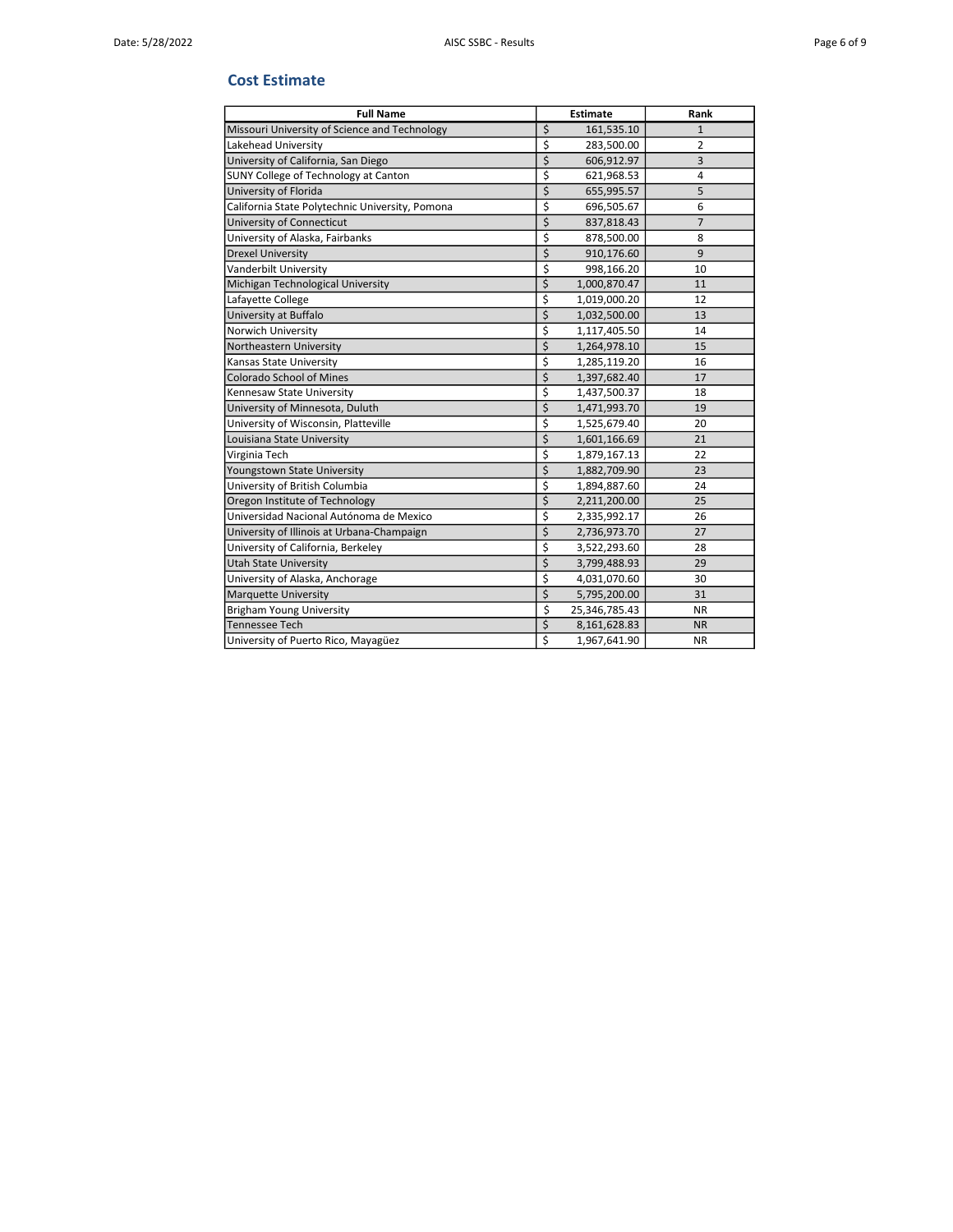#### Cost Estimate

| <b>Full Name</b>                                | <b>Estimate</b>     | Rank           |
|-------------------------------------------------|---------------------|----------------|
| Missouri University of Science and Technology   | \$<br>161,535.10    | $\mathbf{1}$   |
| Lakehead University                             | \$<br>283,500.00    | $\overline{2}$ |
| University of California, San Diego             | \$<br>606,912.97    | $\overline{3}$ |
| SUNY College of Technology at Canton            | \$<br>621,968.53    | 4              |
| University of Florida                           | \$<br>655,995.57    | 5              |
| California State Polytechnic University, Pomona | \$<br>696,505.67    | 6              |
| University of Connecticut                       | \$<br>837,818.43    | $\overline{7}$ |
| University of Alaska, Fairbanks                 | \$<br>878,500.00    | 8              |
| <b>Drexel University</b>                        | \$<br>910,176.60    | 9              |
| Vanderbilt University                           | \$<br>998,166.20    | 10             |
| Michigan Technological University               | \$<br>1,000,870.47  | 11             |
| Lafayette College                               | \$<br>1,019,000.20  | 12             |
| University at Buffalo                           | \$<br>1,032,500.00  | 13             |
| Norwich University                              | \$<br>1,117,405.50  | 14             |
| Northeastern University                         | \$<br>1,264,978.10  | 15             |
| Kansas State University                         | \$<br>1,285,119.20  | 16             |
| <b>Colorado School of Mines</b>                 | \$<br>1,397,682.40  | 17             |
| Kennesaw State University                       | \$<br>1,437,500.37  | 18             |
| University of Minnesota, Duluth                 | \$<br>1,471,993.70  | 19             |
| University of Wisconsin, Platteville            | \$<br>1,525,679.40  | 20             |
| Louisiana State University                      | \$<br>1,601,166.69  | 21             |
| Virginia Tech                                   | \$<br>1,879,167.13  | 22             |
| Youngstown State University                     | \$<br>1,882,709.90  | 23             |
| University of British Columbia                  | \$<br>1,894,887.60  | 24             |
| Oregon Institute of Technology                  | \$<br>2,211,200.00  | 25             |
| Universidad Nacional Autónoma de Mexico         | \$<br>2,335,992.17  | 26             |
| University of Illinois at Urbana-Champaign      | \$<br>2,736,973.70  | 27             |
| University of California, Berkeley              | \$<br>3,522,293.60  | 28             |
| <b>Utah State University</b>                    | \$<br>3,799,488.93  | 29             |
| University of Alaska, Anchorage                 | \$<br>4,031,070.60  | 30             |
| <b>Marquette University</b>                     | \$<br>5,795,200.00  | 31             |
| Brigham Young University                        | \$<br>25,346,785.43 | ΝR             |
| <b>Tennessee Tech</b>                           | \$<br>8,161,628.83  | <b>NR</b>      |
| University of Puerto Rico, Mayagüez             | \$<br>1,967,641.90  | <b>NR</b>      |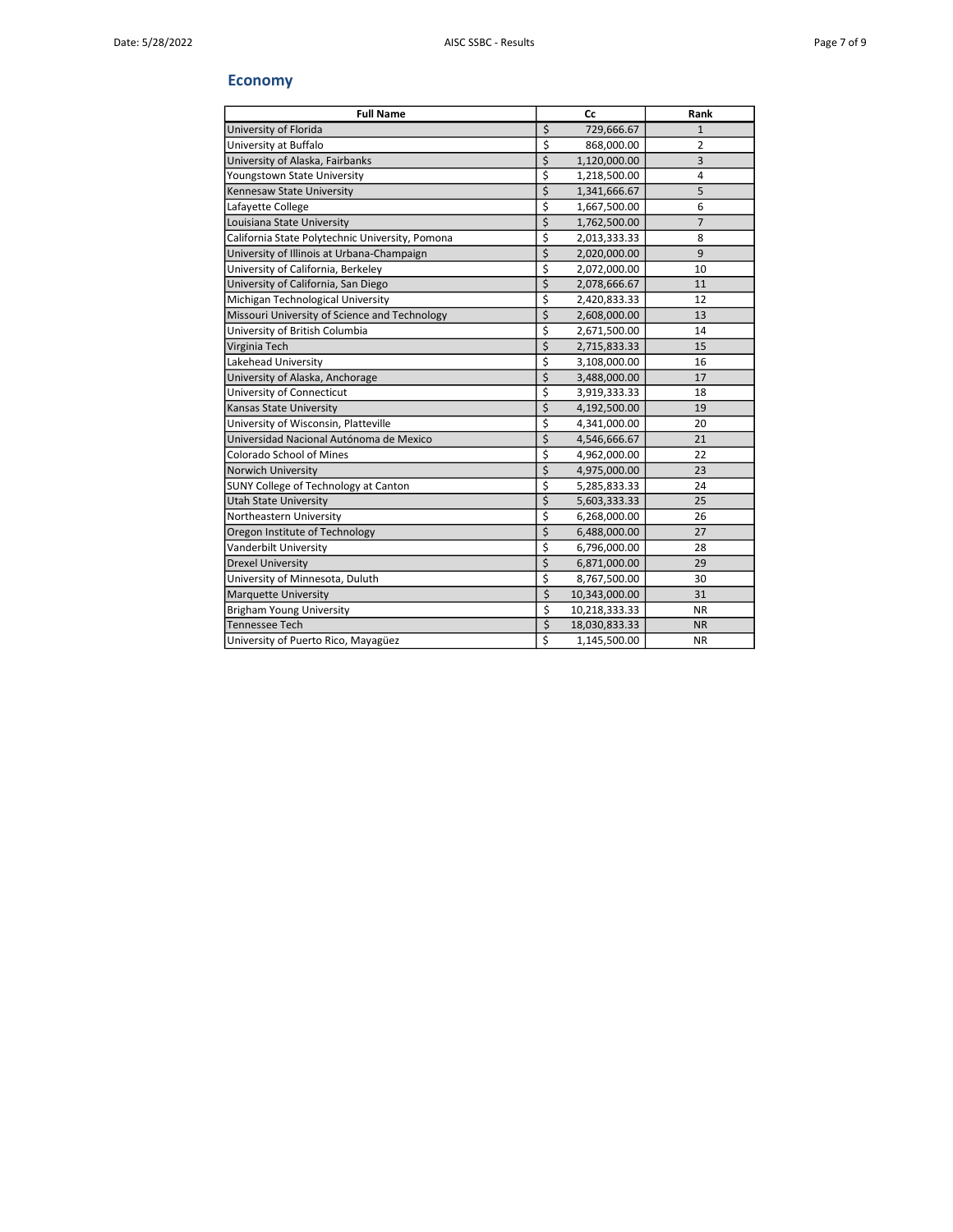## Economy

| <b>Full Name</b>                                | Cc                                | Rank           |
|-------------------------------------------------|-----------------------------------|----------------|
| University of Florida                           | \$<br>729,666.67                  | $\mathbf{1}$   |
| University at Buffalo                           | \$<br>868,000.00                  | 2              |
| University of Alaska, Fairbanks                 | \$<br>1,120,000.00                | 3              |
| Youngstown State University                     | \$<br>1,218,500.00                | 4              |
| Kennesaw State University                       | \$<br>1,341,666.67                | 5              |
| Lafayette College                               | \$<br>1,667,500.00                | 6              |
| Louisiana State University                      | \$<br>1,762,500.00                | $\overline{7}$ |
| California State Polytechnic University, Pomona | \$<br>2,013,333.33                | 8              |
| University of Illinois at Urbana-Champaign      | \$<br>2,020,000.00                | 9              |
| University of California, Berkeley              | \$<br>2,072,000.00                | 10             |
| University of California, San Diego             | \$<br>2,078,666.67                | 11             |
| Michigan Technological University               | \$<br>2,420,833.33                | 12             |
| Missouri University of Science and Technology   | \$<br>2,608,000.00                | 13             |
| University of British Columbia                  | \$<br>2,671,500.00                | 14             |
| Virginia Tech                                   | \$<br>2,715,833.33                | 15             |
| Lakehead University                             | \$<br>3,108,000.00                | 16             |
| University of Alaska, Anchorage                 | \$<br>3,488,000.00                | 17             |
| University of Connecticut                       | \$<br>3,919,333.33                | 18             |
| Kansas State University                         | \$<br>4,192,500.00                | 19             |
| University of Wisconsin, Platteville            | \$<br>4,341,000.00                | 20             |
| Universidad Nacional Autónoma de Mexico         | \$<br>4,546,666.67                | 21             |
| <b>Colorado School of Mines</b>                 | \$<br>4,962,000.00                | 22             |
| Norwich University                              | \$<br>4,975,000.00                | 23             |
| SUNY College of Technology at Canton            | \$<br>5,285,833.33                | 24             |
| <b>Utah State University</b>                    | \$<br>5,603,333.33                | 25             |
| Northeastern University                         | \$<br>6,268,000.00                | 26             |
| Oregon Institute of Technology                  | \$<br>6,488,000.00                | 27             |
| Vanderbilt University                           | \$<br>6,796,000.00                | 28             |
| <b>Drexel University</b>                        | \$<br>6,871,000.00                | 29             |
| University of Minnesota, Duluth                 | \$<br>8,767,500.00                | 30             |
| <b>Marquette University</b>                     | \$<br>10,343,000.00               | 31             |
| <b>Brigham Young University</b>                 | \$<br>10,218,333.33               | <b>NR</b>      |
| <b>Tennessee Tech</b>                           | $\overline{\xi}$<br>18,030,833.33 | <b>NR</b>      |
| University of Puerto Rico, Mayagüez             | \$<br>1,145,500.00                | NR.            |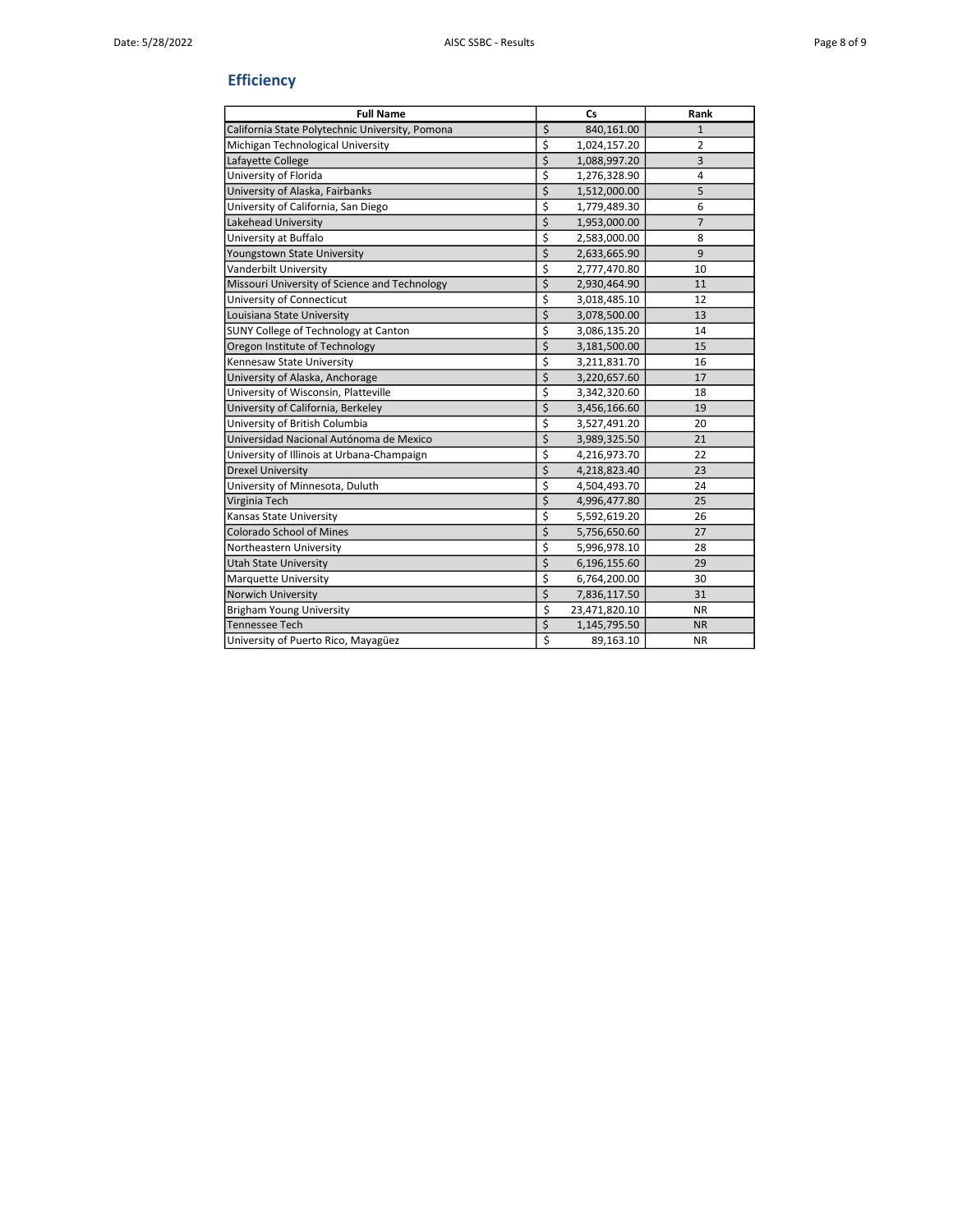# **Efficiency**

| <b>Full Name</b>                                | Cs                  | Rank           |
|-------------------------------------------------|---------------------|----------------|
| California State Polytechnic University, Pomona | \$<br>840,161.00    | $\mathbf{1}$   |
| Michigan Technological University               | \$<br>1,024,157.20  | $\overline{2}$ |
| Lafayette College                               | \$<br>1,088,997.20  | 3              |
| University of Florida                           | \$<br>1,276,328.90  | 4              |
| University of Alaska, Fairbanks                 | \$<br>1,512,000.00  | 5              |
| University of California, San Diego             | \$<br>1,779,489.30  | 6              |
| Lakehead University                             | \$<br>1,953,000.00  | $\overline{7}$ |
| University at Buffalo                           | \$<br>2,583,000.00  | 8              |
| Youngstown State University                     | \$<br>2,633,665.90  | 9              |
| Vanderbilt University                           | \$<br>2,777,470.80  | 10             |
| Missouri University of Science and Technology   | \$<br>2,930,464.90  | 11             |
| University of Connecticut                       | \$<br>3,018,485.10  | 12             |
| Louisiana State University                      | \$<br>3,078,500.00  | 13             |
| SUNY College of Technology at Canton            | \$<br>3,086,135.20  | 14             |
| Oregon Institute of Technology                  | \$<br>3,181,500.00  | 15             |
| Kennesaw State University                       | \$<br>3,211,831.70  | 16             |
| University of Alaska, Anchorage                 | \$<br>3,220,657.60  | 17             |
| University of Wisconsin, Platteville            | \$<br>3,342,320.60  | 18             |
| University of California, Berkeley              | \$<br>3,456,166.60  | 19             |
| University of British Columbia                  | \$<br>3,527,491.20  | 20             |
| Universidad Nacional Autónoma de Mexico         | \$<br>3,989,325.50  | 21             |
| University of Illinois at Urbana-Champaign      | \$<br>4,216,973.70  | 22             |
| Drexel University                               | \$<br>4,218,823.40  | 23             |
| University of Minnesota, Duluth                 | \$<br>4,504,493.70  | 24             |
| Virginia Tech                                   | \$<br>4,996,477.80  | 25             |
| Kansas State University                         | \$<br>5,592,619.20  | 26             |
| Colorado School of Mines                        | \$<br>5,756,650.60  | 27             |
| Northeastern University                         | \$<br>5,996,978.10  | 28             |
| Utah State University                           | \$<br>6,196,155.60  | 29             |
| Marquette University                            | \$<br>6,764,200.00  | 30             |
| Norwich University                              | \$<br>7,836,117.50  | 31             |
| Brigham Young University                        | \$<br>23,471,820.10 | <b>NR</b>      |
| Tennessee Tech                                  | \$<br>1,145,795.50  | <b>NR</b>      |
| University of Puerto Rico, Mayagüez             | \$<br>89,163.10     | <b>NR</b>      |